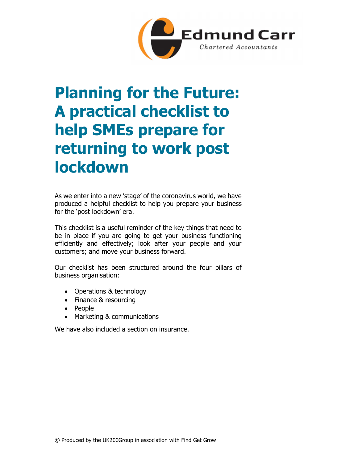

# Planning for the Future: A practical checklist to help SMEs prepare for returning to work post lockdown

As we enter into a new 'stage' of the coronavirus world, we have produced a helpful checklist to help you prepare your business for the 'post lockdown' era.

This checklist is a useful reminder of the key things that need to be in place if you are going to get your business functioning efficiently and effectively; look after your people and your customers; and move your business forward.

Our checklist has been structured around the four pillars of business organisation:

- Operations & technology
- Finance & resourcing
- People
- Marketing & communications

We have also included a section on insurance.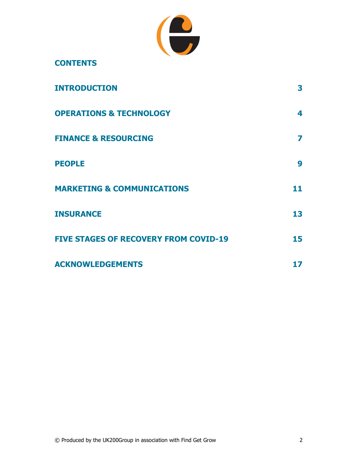

| <b>CONTENTS</b> |
|-----------------|
|-----------------|

| <b>INTRODUCTION</b>                          | 3  |
|----------------------------------------------|----|
| <b>OPERATIONS &amp; TECHNOLOGY</b>           | 4  |
| <b>FINANCE &amp; RESOURCING</b>              | 7  |
| <b>PEOPLE</b>                                | 9  |
| <b>MARKETING &amp; COMMUNICATIONS</b>        | 11 |
| <b>INSURANCE</b>                             | 13 |
| <b>FIVE STAGES OF RECOVERY FROM COVID-19</b> | 15 |
| <b>ACKNOWLEDGEMENTS</b>                      | 17 |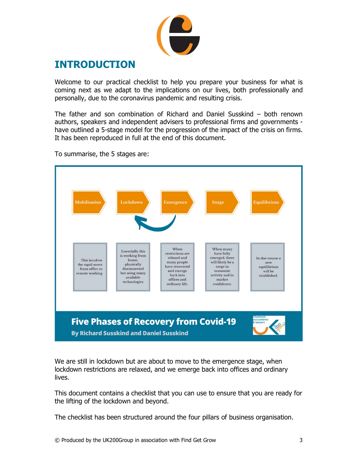

## INTRODUCTION

Welcome to our practical checklist to help you prepare your business for what is coming next as we adapt to the implications on our lives, both professionally and personally, due to the coronavirus pandemic and resulting crisis.

The father and son combination of Richard and Daniel Susskind – both renown authors, speakers and independent advisers to professional firms and governments have outlined a 5-stage model for the progression of the impact of the crisis on firms. It has been reproduced in full at the end of this document.

To summarise, the 5 stages are:



 We are still in lockdown but are about to move to the emergence stage, when lockdown restrictions are relaxed, and we emerge back into offices and ordinary lives.

This document contains a checklist that you can use to ensure that you are ready for the lifting of the lockdown and beyond.

The checklist has been structured around the four pillars of business organisation.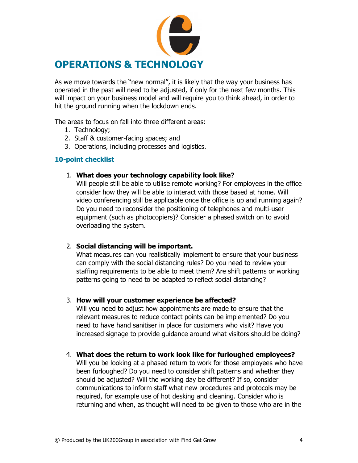

As we move towards the "new normal", it is likely that the way your business has operated in the past will need to be adjusted, if only for the next few months. This will impact on your business model and will require you to think ahead, in order to hit the ground running when the lockdown ends.

The areas to focus on fall into three different areas:

- 1. Technology;
- 2. Staff & customer-facing spaces; and
- 3. Operations, including processes and logistics.

#### 10-point checklist

#### 1. What does your technology capability look like?

Will people still be able to utilise remote working? For employees in the office consider how they will be able to interact with those based at home. Will video conferencing still be applicable once the office is up and running again? Do you need to reconsider the positioning of telephones and multi-user equipment (such as photocopiers)? Consider a phased switch on to avoid overloading the system.

#### 2. Social distancing will be important.

What measures can you realistically implement to ensure that your business can comply with the social distancing rules? Do you need to review your staffing requirements to be able to meet them? Are shift patterns or working patterns going to need to be adapted to reflect social distancing?

#### 3. How will your customer experience be affected?

Will you need to adjust how appointments are made to ensure that the relevant measures to reduce contact points can be implemented? Do you need to have hand sanitiser in place for customers who visit? Have you increased signage to provide guidance around what visitors should be doing?

#### 4. What does the return to work look like for furloughed employees?

Will you be looking at a phased return to work for those employees who have been furloughed? Do you need to consider shift patterns and whether they should be adjusted? Will the working day be different? If so, consider communications to inform staff what new procedures and protocols may be required, for example use of hot desking and cleaning. Consider who is returning and when, as thought will need to be given to those who are in the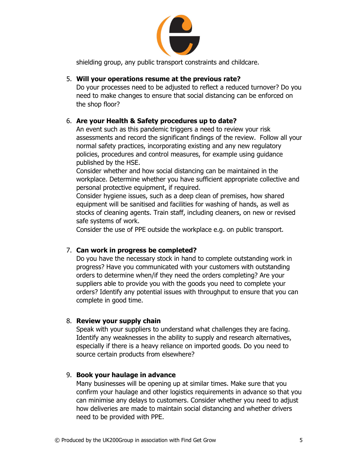

shielding group, any public transport constraints and childcare.

#### 5. Will your operations resume at the previous rate?

Do your processes need to be adjusted to reflect a reduced turnover? Do you need to make changes to ensure that social distancing can be enforced on the shop floor?

#### 6. Are your Health & Safety procedures up to date?

An event such as this pandemic triggers a need to review your risk assessments and record the significant findings of the review. Follow all your normal safety practices, incorporating existing and any new regulatory policies, procedures and control measures, for example using guidance published by the HSE.

Consider whether and how social distancing can be maintained in the workplace. Determine whether you have sufficient appropriate collective and personal protective equipment, if required.

Consider hygiene issues, such as a deep clean of premises, how shared equipment will be sanitised and facilities for washing of hands, as well as stocks of cleaning agents. Train staff, including cleaners, on new or revised safe systems of work.

Consider the use of PPE outside the workplace e.g. on public transport.

#### 7. Can work in progress be completed?

Do you have the necessary stock in hand to complete outstanding work in progress? Have you communicated with your customers with outstanding orders to determine when/if they need the orders completing? Are your suppliers able to provide you with the goods you need to complete your orders? Identify any potential issues with throughput to ensure that you can complete in good time.

#### 8. Review your supply chain

Speak with your suppliers to understand what challenges they are facing. Identify any weaknesses in the ability to supply and research alternatives, especially if there is a heavy reliance on imported goods. Do you need to source certain products from elsewhere?

#### 9. Book your haulage in advance

Many businesses will be opening up at similar times. Make sure that you confirm your haulage and other logistics requirements in advance so that you can minimise any delays to customers. Consider whether you need to adjust how deliveries are made to maintain social distancing and whether drivers need to be provided with PPE.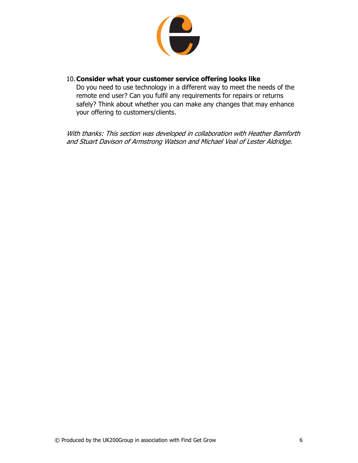

#### 10.Consider what your customer service offering looks like

Do you need to use technology in a different way to meet the needs of the remote end user? Can you fulfil any requirements for repairs or returns safely? Think about whether you can make any changes that may enhance your offering to customers/clients.

With thanks: This section was developed in collaboration with Heather Bamforth and Stuart Davison of Armstrong Watson and Michael Veal of Lester Aldridge.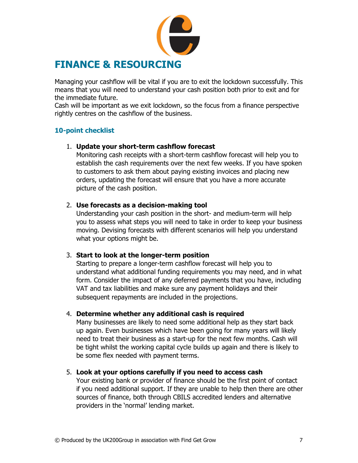

Managing your cashflow will be vital if you are to exit the lockdown successfully. This means that you will need to understand your cash position both prior to exit and for the immediate future.

Cash will be important as we exit lockdown, so the focus from a finance perspective rightly centres on the cashflow of the business.

#### 10-point checklist

#### 1. Update your short-term cashflow forecast

Monitoring cash receipts with a short-term cashflow forecast will help you to establish the cash requirements over the next few weeks. If you have spoken to customers to ask them about paying existing invoices and placing new orders, updating the forecast will ensure that you have a more accurate picture of the cash position.

#### 2. Use forecasts as a decision-making tool

Understanding your cash position in the short- and medium-term will help you to assess what steps you will need to take in order to keep your business moving. Devising forecasts with different scenarios will help you understand what your options might be.

#### 3. Start to look at the longer-term position

Starting to prepare a longer-term cashflow forecast will help you to understand what additional funding requirements you may need, and in what form. Consider the impact of any deferred payments that you have, including VAT and tax liabilities and make sure any payment holidays and their subsequent repayments are included in the projections.

#### 4. Determine whether any additional cash is required

Many businesses are likely to need some additional help as they start back up again. Even businesses which have been going for many years will likely need to treat their business as a start-up for the next few months. Cash will be tight whilst the working capital cycle builds up again and there is likely to be some flex needed with payment terms.

#### 5. Look at your options carefully if you need to access cash

Your existing bank or provider of finance should be the first point of contact if you need additional support. If they are unable to help then there are other sources of finance, both through CBILS accredited lenders and alternative providers in the 'normal' lending market.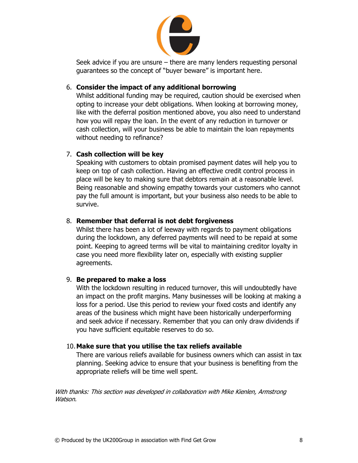

Seek advice if you are unsure – there are many lenders requesting personal guarantees so the concept of "buyer beware" is important here.

#### 6. Consider the impact of any additional borrowing

Whilst additional funding may be required, caution should be exercised when opting to increase your debt obligations. When looking at borrowing money, like with the deferral position mentioned above, you also need to understand how you will repay the loan. In the event of any reduction in turnover or cash collection, will your business be able to maintain the loan repayments without needing to refinance?

#### 7. Cash collection will be key

Speaking with customers to obtain promised payment dates will help you to keep on top of cash collection. Having an effective credit control process in place will be key to making sure that debtors remain at a reasonable level. Being reasonable and showing empathy towards your customers who cannot pay the full amount is important, but your business also needs to be able to survive.

#### 8. Remember that deferral is not debt forgiveness

Whilst there has been a lot of leeway with regards to payment obligations during the lockdown, any deferred payments will need to be repaid at some point. Keeping to agreed terms will be vital to maintaining creditor loyalty in case you need more flexibility later on, especially with existing supplier agreements.

#### 9. Be prepared to make a loss

With the lockdown resulting in reduced turnover, this will undoubtedly have an impact on the profit margins. Many businesses will be looking at making a loss for a period. Use this period to review your fixed costs and identify any areas of the business which might have been historically underperforming and seek advice if necessary. Remember that you can only draw dividends if you have sufficient equitable reserves to do so.

#### 10.Make sure that you utilise the tax reliefs available

There are various reliefs available for business owners which can assist in tax planning. Seeking advice to ensure that your business is benefiting from the appropriate reliefs will be time well spent.

With thanks: This section was developed in collaboration with Mike Kienlen, Armstrong Watson.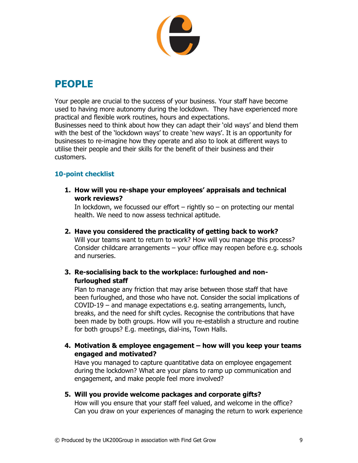

### PEOPLE

Your people are crucial to the success of your business. Your staff have become used to having more autonomy during the lockdown. They have experienced more practical and flexible work routines, hours and expectations. Businesses need to think about how they can adapt their 'old ways' and blend them with the best of the 'lockdown ways' to create 'new ways'. It is an opportunity for businesses to re-imagine how they operate and also to look at different ways to utilise their people and their skills for the benefit of their business and their customers.

### 10-point checklist

1. How will you re-shape your employees' appraisals and technical work reviews?

In lockdown, we focussed our effort  $-$  rightly so  $-$  on protecting our mental health. We need to now assess technical aptitude.

- 2. Have you considered the practicality of getting back to work? Will your teams want to return to work? How will you manage this process? Consider childcare arrangements – your office may reopen before e.g. schools and nurseries.
- 3. Re-socialising back to the workplace: furloughed and nonfurloughed staff

Plan to manage any friction that may arise between those staff that have been furloughed, and those who have not. Consider the social implications of COVID-19 – and manage expectations e.g. seating arrangements, lunch, breaks, and the need for shift cycles. Recognise the contributions that have been made by both groups. How will you re-establish a structure and routine for both groups? E.g. meetings, dial-ins, Town Halls.

4. Motivation & employee engagement – how will you keep your teams engaged and motivated?

Have you managed to capture quantitative data on employee engagement during the lockdown? What are your plans to ramp up communication and engagement, and make people feel more involved?

5. Will you provide welcome packages and corporate gifts?

How will you ensure that your staff feel valued, and welcome in the office? Can you draw on your experiences of managing the return to work experience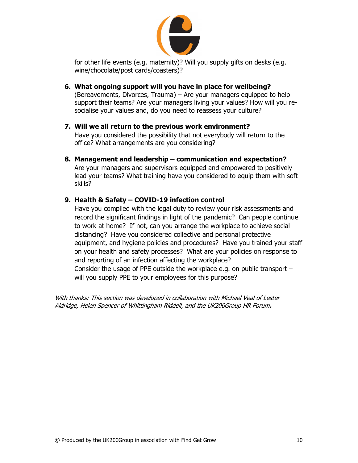

for other life events (e.g. maternity)? Will you supply gifts on desks (e.g. wine/chocolate/post cards/coasters)?

- 6. What ongoing support will you have in place for wellbeing? (Bereavements, Divorces, Trauma) – Are your managers equipped to help support their teams? Are your managers living your values? How will you resocialise your values and, do you need to reassess your culture?
- 7. Will we all return to the previous work environment? Have you considered the possibility that not everybody will return to the office? What arrangements are you considering?
- 8. Management and leadership communication and expectation? Are your managers and supervisors equipped and empowered to positively lead your teams? What training have you considered to equip them with soft skills?

#### 9. Health & Safety – COVID-19 infection control

Have you complied with the legal duty to review your risk assessments and record the significant findings in light of the pandemic? Can people continue to work at home? If not, can you arrange the workplace to achieve social distancing? Have you considered collective and personal protective equipment, and hygiene policies and procedures? Have you trained your staff on your health and safety processes? What are your policies on response to and reporting of an infection affecting the workplace? Consider the usage of PPE outside the workplace e.g. on public transport – will you supply PPE to your employees for this purpose?

With thanks: This section was developed in collaboration with Michael Veal of Lester Aldridge, Helen Spencer of Whittingham Riddell, and the UK200Group HR Forum.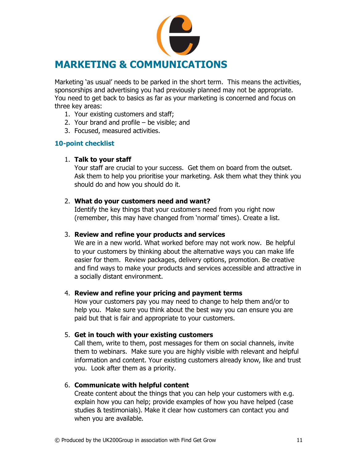

Marketing 'as usual' needs to be parked in the short term. This means the activities, sponsorships and advertising you had previously planned may not be appropriate. You need to get back to basics as far as your marketing is concerned and focus on three key areas:

- 1. Your existing customers and staff;
- 2. Your brand and profile be visible; and
- 3. Focused, measured activities.

#### 10-point checklist

#### 1. Talk to your staff

Your staff are crucial to your success. Get them on board from the outset. Ask them to help you prioritise your marketing. Ask them what they think you should do and how you should do it.

#### 2. What do your customers need and want?

Identify the key things that your customers need from you right now (remember, this may have changed from 'normal' times). Create a list.

#### 3. Review and refine your products and services

We are in a new world. What worked before may not work now. Be helpful to your customers by thinking about the alternative ways you can make life easier for them. Review packages, delivery options, promotion. Be creative and find ways to make your products and services accessible and attractive in a socially distant environment.

#### 4. Review and refine your pricing and payment terms

How your customers pay you may need to change to help them and/or to help you. Make sure you think about the best way you can ensure you are paid but that is fair and appropriate to your customers.

#### 5. Get in touch with your existing customers

Call them, write to them, post messages for them on social channels, invite them to webinars. Make sure you are highly visible with relevant and helpful information and content. Your existing customers already know, like and trust you. Look after them as a priority.

#### 6. Communicate with helpful content

Create content about the things that you can help your customers with e.g. explain how you can help; provide examples of how you have helped (case studies & testimonials). Make it clear how customers can contact you and when you are available.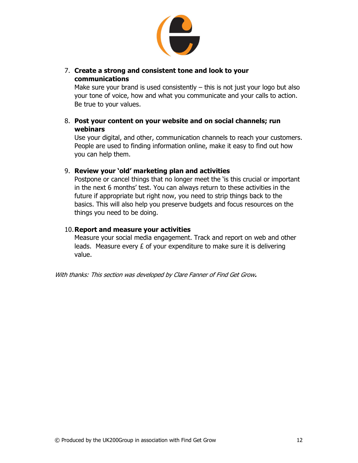

#### 7. Create a strong and consistent tone and look to your communications

Make sure your brand is used consistently – this is not just your logo but also your tone of voice, how and what you communicate and your calls to action. Be true to your values.

#### 8. Post your content on your website and on social channels; run webinars

Use your digital, and other, communication channels to reach your customers. People are used to finding information online, make it easy to find out how you can help them.

#### 9. Review your 'old' marketing plan and activities

Postpone or cancel things that no longer meet the 'is this crucial or important in the next 6 months' test. You can always return to these activities in the future if appropriate but right now, you need to strip things back to the basics. This will also help you preserve budgets and focus resources on the things you need to be doing.

10. **Report and measure your activities** Measure your social media engagement. Track and report on web and other leads. Measure every £ of your expenditure to make sure it is delivering value.

With thanks: This section was developed by Clare Fanner of Find Get Grow.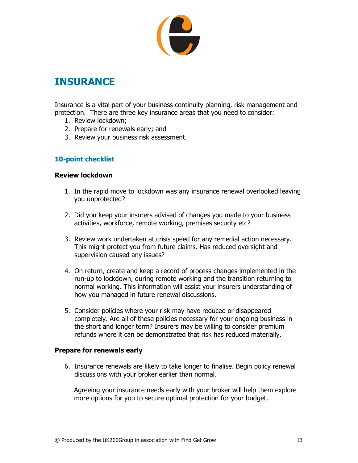

### **INSURANCE**

Insurance is a vital part of your business continuity planning, risk management and protection. There are three key insurance areas that you need to consider:

- 1. Review lockdown;
- 2. Prepare for renewals early; and
- 3. Review your business risk assessment.

#### 10-point checklist

#### Review lockdown

- 1. In the rapid move to lockdown was any insurance renewal overlooked leaving you unprotected?
- 2. Did you keep your insurers advised of changes you made to your business activities, workforce, remote working, premises security etc?
- 3. Review work undertaken at crisis speed for any remedial action necessary. This might protect you from future claims. Has reduced oversight and supervision caused any issues?
- 4. On return, create and keep a record of process changes implemented in the run-up to lockdown, during remote working and the transition returning to normal working. This information will assist your insurers understanding of how you managed in future renewal discussions.
- 5. Consider policies where your risk may have reduced or disappeared completely. Are all of these policies necessary for your ongoing business in the short and longer term? Insurers may be willing to consider premium refunds where it can be demonstrated that risk has reduced materially.

#### Prepare for renewals early

6. Insurance renewals are likely to take longer to finalise. Begin policy renewal discussions with your broker earlier than normal.

Agreeing your insurance needs early with your broker will help them explore more options for you to secure optimal protection for your budget.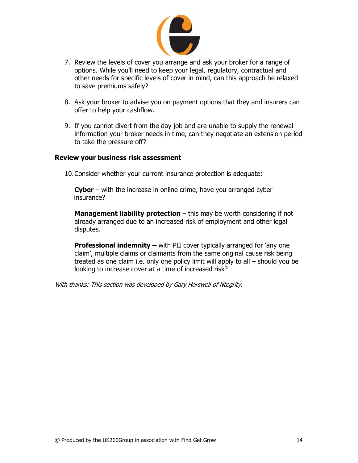

- 7. Review the levels of cover you arrange and ask your broker for a range of options. While you'll need to keep your legal, regulatory, contractual and other needs for specific levels of cover in mind, can this approach be relaxed to save premiums safely?
- 8. Ask your broker to advise you on payment options that they and insurers can offer to help your cashflow.
- 9. If you cannot divert from the day job and are unable to supply the renewal information your broker needs in time, can they negotiate an extension period to take the pressure off?

#### Review your business risk assessment

10.Consider whether your current insurance protection is adequate:

Cyber – with the increase in online crime, have you arranged cyber insurance?

**Management liability protection**  $-$  this may be worth considering if not already arranged due to an increased risk of employment and other legal disputes.

**Professional indemnity –** with PII cover typically arranged for 'any one claim', multiple claims or claimants from the same original cause risk being treated as one claim i.e. only one policy limit will apply to all – should you be looking to increase cover at a time of increased risk?

With thanks: This section was developed by Gary Horswell of Ntegrity.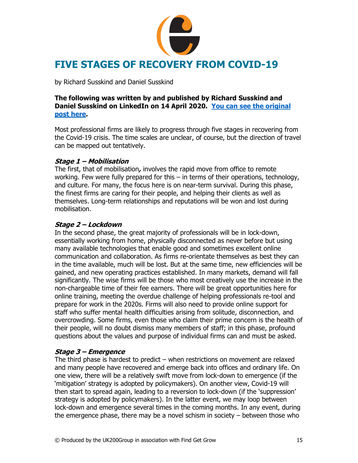

by Richard Susskind and Daniel Susskind

#### The following was written by and published by Richard Susskind and Daniel Susskind on LinkedIn on 14 April 2020. You can see the original post here.

Most professional firms are likely to progress through five stages in recovering from the Covid-19 crisis. The time scales are unclear, of course, but the direction of travel can be mapped out tentatively.

#### Stage 1 – Mobilisation

The first, that of mobilisation, involves the rapid move from office to remote working. Few were fully prepared for this – in terms of their operations, technology, and culture. For many, the focus here is on near-term survival. During this phase, the finest firms are caring for their people, and helping their clients as well as themselves. Long-term relationships and reputations will be won and lost during mobilisation.

#### Stage 2 – Lockdown

In the second phase, the great majority of professionals will be in lock-down, essentially working from home, physically disconnected as never before but using many available technologies that enable good and sometimes excellent online communication and collaboration. As firms re-orientate themselves as best they can in the time available, much will be lost. But at the same time, new efficiencies will be gained, and new operating practices established. In many markets, demand will fall significantly. The wise firms will be those who most creatively use the increase in the non-chargeable time of their fee earners. There will be great opportunities here for online training, meeting the overdue challenge of helping professionals re-tool and prepare for work in the 2020s. Firms will also need to provide online support for staff who suffer mental health difficulties arising from solitude, disconnection, and overcrowding. Some firms, even those who claim their prime concern is the health of their people, will no doubt dismiss many members of staff; in this phase, profound questions about the values and purpose of individual firms can and must be asked.

#### Stage 3 – Emergence

The third phase is hardest to predict – when restrictions on movement are relaxed and many people have recovered and emerge back into offices and ordinary life. On one view, there will be a relatively swift move from lock-down to emergence (if the 'mitigation' strategy is adopted by policymakers). On another view, Covid-19 will then start to spread again, leading to a reversion to lock-down (if the 'suppression' strategy is adopted by policymakers). In the latter event, we may loop between lock-down and emergence several times in the coming months. In any event, during the emergence phase, there may be a novel schism in society – between those who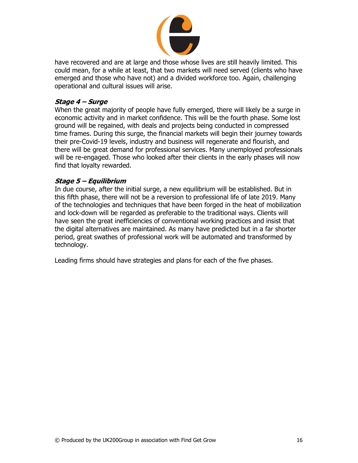

have recovered and are at large and those whose lives are still heavily limited. This could mean, for a while at least, that two markets will need served (clients who have emerged and those who have not) and a divided workforce too. Again, challenging operational and cultural issues will arise.

#### Stage 4 – Surge

When the great majority of people have fully emerged, there will likely be a surge in economic activity and in market confidence. This will be the fourth phase. Some lost ground will be regained, with deals and projects being conducted in compressed time frames. During this surge, the financial markets will begin their journey towards their pre-Covid-19 levels, industry and business will regenerate and flourish, and there will be great demand for professional services. Many unemployed professionals will be re-engaged. Those who looked after their clients in the early phases will now find that loyalty rewarded.

#### Stage 5 – Equilibrium

In due course, after the initial surge, a new equilibrium will be established. But in this fifth phase, there will not be a reversion to professional life of late 2019. Many of the technologies and techniques that have been forged in the heat of mobilization and lock-down will be regarded as preferable to the traditional ways. Clients will have seen the great inefficiencies of conventional working practices and insist that the digital alternatives are maintained. As many have predicted but in a far shorter period, great swathes of professional work will be automated and transformed by technology.

Leading firms should have strategies and plans for each of the five phases.